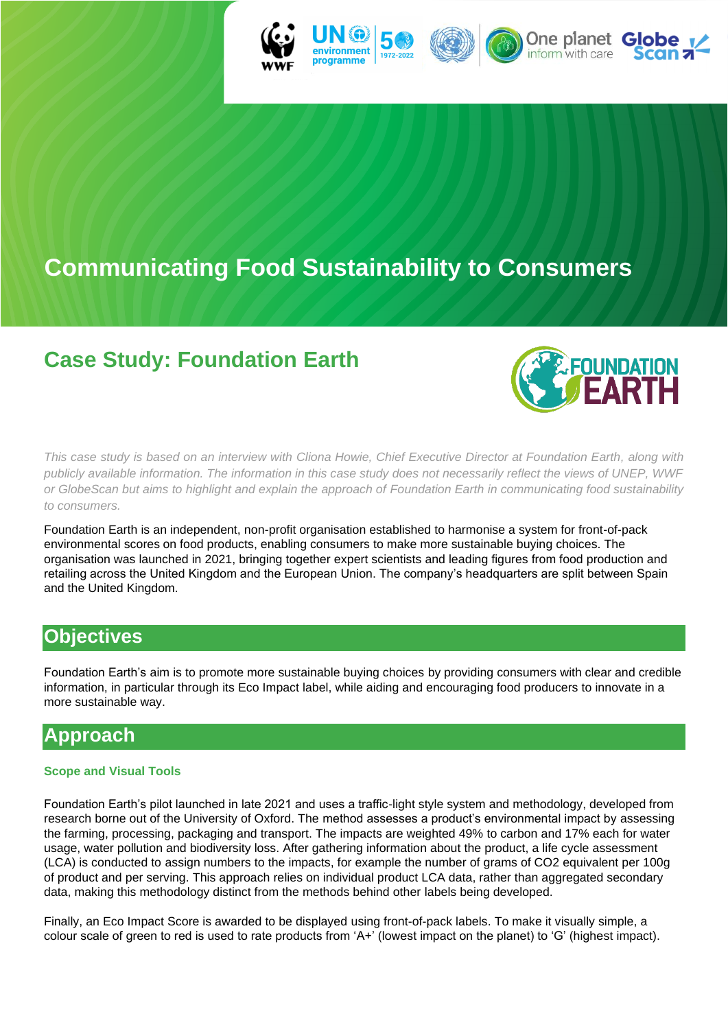

# **Communicating Food Sustainability to Consumers**

## **Case Study: Foundation Earth**



*This case study is based on an interview with Cliona Howie, Chief Executive Director at Foundation Earth, along with publicly available information. The information in this case study does not necessarily reflect the views of UNEP, WWF or GlobeScan but aims to highlight and explain the approach of Foundation Earth in communicating food sustainability to consumers.*

Foundation Earth is an independent, non-profit organisation established to harmonise a system for front-of-pack environmental scores on food products, enabling consumers to make more sustainable buying choices. The organisation was launched in 2021, bringing together expert scientists and leading figures from food production and retailing across the United Kingdom and the European Union. The company's headquarters are split between Spain and the United Kingdom.

## **Objectives**

Foundation Earth's aim is to promote more sustainable buying choices by providing consumers with clear and credible information, in particular through its Eco Impact label, while aiding and encouraging food producers to innovate in a more sustainable way.

### **Approach**

#### **Scope and Visual Tools**

Foundation Earth's pilot launched in late 2021 and uses a traffic-light style system and methodology, developed from research borne out of the University of Oxford. The method assesses a product's environmental impact by assessing the farming, processing, packaging and transport. The impacts are weighted 49% to carbon and 17% each for water usage, water pollution and biodiversity loss. After gathering information about the product, a life cycle assessment (LCA) is conducted to assign numbers to the impacts, for example the number of grams of CO2 equivalent per 100g of product and per serving. This approach relies on individual product LCA data, rather than aggregated secondary data, making this methodology distinct from the methods behind other labels being developed.

Finally, an Eco Impact Score is awarded to be displayed using front-of-pack labels. To make it visually simple, a colour scale of green to red is used to rate products from 'A+' (lowest impact on the planet) to 'G' (highest impact).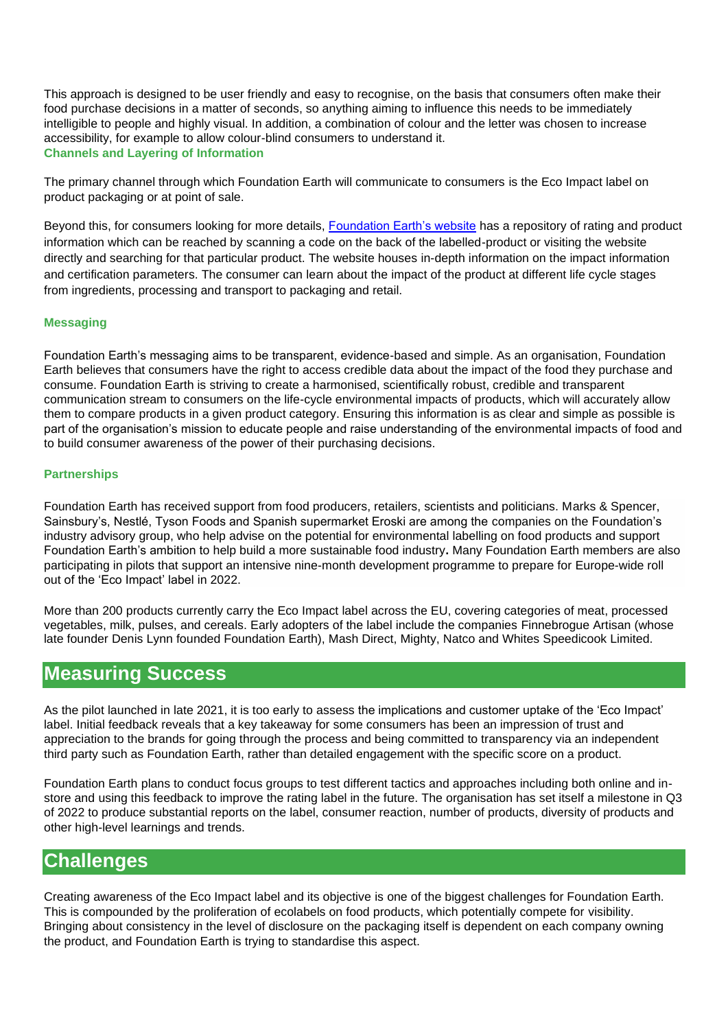This approach is designed to be user friendly and easy to recognise, on the basis that consumers often make their food purchase decisions in a matter of seconds, so anything aiming to influence this needs to be immediately intelligible to people and highly visual. In addition, a combination of colour and the letter was chosen to increase accessibility, for example to allow colour-blind consumers to understand it. **Channels and Layering of Information**

The primary channel through which Foundation Earth will communicate to consumers is the Eco Impact label on product packaging or at point of sale.

Beyond this, for consumers looking for more details, [Foundation Earth's website](https://www.foundation-earth.org/products/) has a repository of rating and product information which can be reached by scanning a code on the back of the labelled-product or visiting the website directly and searching for that particular product. The website houses in-depth information on the impact information and certification parameters. The consumer can learn about the impact of the product at different life cycle stages from ingredients, processing and transport to packaging and retail.

#### **Messaging**

Foundation Earth's messaging aims to be transparent, evidence-based and simple. As an organisation, Foundation Earth believes that consumers have the right to access credible data about the impact of the food they purchase and consume. Foundation Earth is striving to create a harmonised, scientifically robust, credible and transparent communication stream to consumers on the life-cycle environmental impacts of products, which will accurately allow them to compare products in a given product category. Ensuring this information is as clear and simple as possible is part of the organisation's mission to educate people and raise understanding of the environmental impacts of food and to build consumer awareness of the power of their purchasing decisions.

#### **Partnerships**

Foundation Earth has received support from food producers, retailers, scientists and politicians. Marks & Spencer, Sainsbury's, Nestlé, Tyson Foods and Spanish supermarket Eroski are among the companies on the Foundation's industry advisory group, who help advise on the potential for environmental labelling on food products and support Foundation Earth's ambition to help build a more sustainable food industry**.** Many Foundation Earth members are also participating in pilots that support an intensive nine-month development programme to prepare for Europe-wide roll out of the 'Eco Impact' label in 2022.

More than 200 products currently carry the Eco Impact label across the EU, covering categories of meat, processed vegetables, milk, pulses, and cereals. Early adopters of the label include the companies Finnebrogue Artisan (whose late founder Denis Lynn founded Foundation Earth), Mash Direct, Mighty, Natco and Whites Speedicook Limited.

### **Measuring Success**

As the pilot launched in late 2021, it is too early to assess the implications and customer uptake of the 'Eco Impact' label. Initial feedback reveals that a key takeaway for some consumers has been an impression of trust and appreciation to the brands for going through the process and being committed to transparency via an independent third party such as Foundation Earth, rather than detailed engagement with the specific score on a product.

Foundation Earth plans to conduct focus groups to test different tactics and approaches including both online and instore and using this feedback to improve the rating label in the future. The organisation has set itself a milestone in Q3 of 2022 to produce substantial reports on the label, consumer reaction, number of products, diversity of products and other high-level learnings and trends.

### **Challenges**

Creating awareness of the Eco Impact label and its objective is one of the biggest challenges for Foundation Earth. This is compounded by the proliferation of ecolabels on food products, which potentially compete for visibility. Bringing about consistency in the level of disclosure on the packaging itself is dependent on each company owning the product, and Foundation Earth is trying to standardise this aspect.